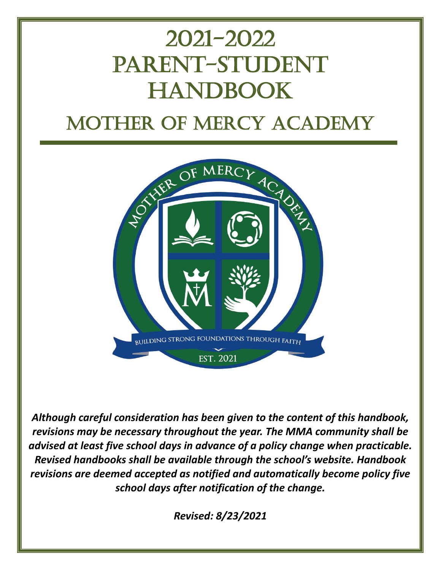# 2021-2022 PARENT-STUDENT **HANDBOOK** Mother of Mercy Academy



*Although careful consideration has been given to the content of this handbook, revisions may be necessary throughout the year. The MMA community shall be advised at least five school days in advance of a policy change when practicable. Revised handbooks shall be available through the school's website. Handbook revisions are deemed accepted as notified and automatically become policy five school days after notification of the change.*

*Revised: 8/23/2021*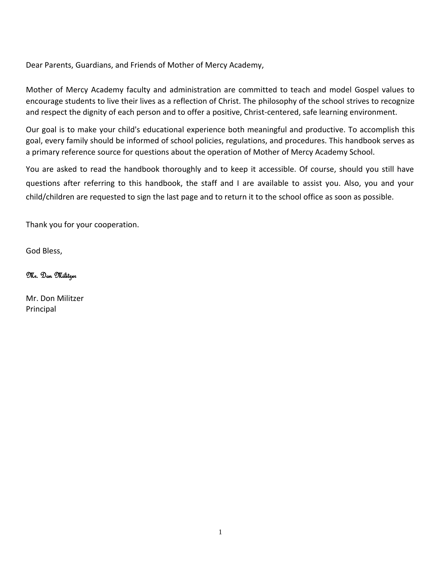Dear Parents, Guardians, and Friends of Mother of Mercy Academy,

Mother of Mercy Academy faculty and administration are committed to teach and model Gospel values to encourage students to live their lives as a reflection of Christ. The philosophy of the school strives to recognize and respect the dignity of each person and to offer a positive, Christ-centered, safe learning environment.

Our goal is to make your child's educational experience both meaningful and productive. To accomplish this goal, every family should be informed of school policies, regulations, and procedures. This handbook serves as a primary reference source for questions about the operation of Mother of Mercy Academy School.

You are asked to read the handbook thoroughly and to keep it accessible. Of course, should you still have questions after referring to this handbook, the staff and I are available to assist you. Also, you and your child/children are requested to sign the last page and to return it to the school office as soon as possible.

Thank you for your cooperation.

God Bless,

Mr. Don Militzer

Mr. Don Militzer Principal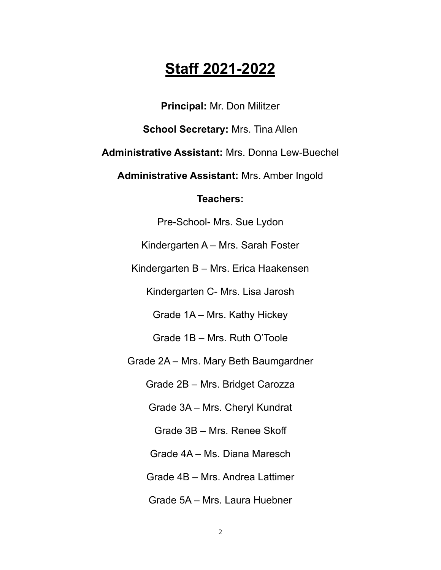# **Staff 2021-2022**

**Principal:** Mr. Don Militzer

**School Secretary:** Mrs. Tina Allen

**Administrative Assistant:** Mrs. Donna Lew-Buechel

**Administrative Assistant:** Mrs. Amber Ingold

# **Teachers:**

Pre-School- Mrs. Sue Lydon

Kindergarten A – Mrs. Sarah Foster

Kindergarten B – Mrs. Erica Haakensen

Kindergarten C- Mrs. Lisa Jarosh

Grade 1A – Mrs. Kathy Hickey

Grade 1B – Mrs. Ruth O'Toole

Grade 2A – Mrs. Mary Beth Baumgardner

Grade 2B – Mrs. Bridget Carozza

Grade 3A – Mrs. Cheryl Kundrat

Grade 3B – Mrs. Renee Skoff

Grade 4A – Ms. Diana Maresch

Grade 4B – Mrs. Andrea Lattimer

Grade 5A – Mrs. Laura Huebner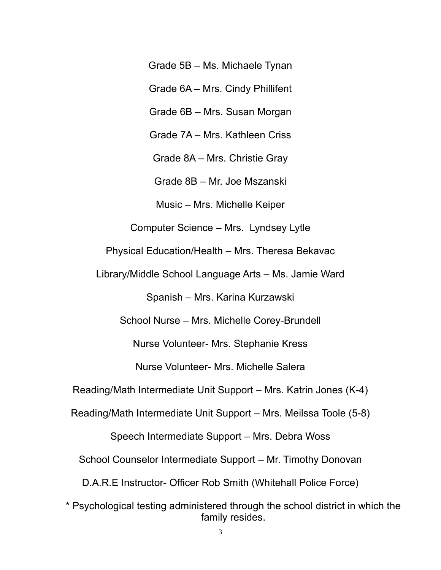Grade 5B – Ms. Michaele Tynan

Grade 6A – Mrs. Cindy Phillifent

Grade 6B – Mrs. Susan Morgan

Grade 7A – Mrs. Kathleen Criss

Grade 8A – Mrs. Christie Gray

Grade 8B – Mr. Joe Mszanski

Music – Mrs. Michelle Keiper

Computer Science – Mrs. Lyndsey Lytle

Physical Education/Health – Mrs. Theresa Bekavac

Library/Middle School Language Arts – Ms. Jamie Ward

Spanish – Mrs. Karina Kurzawski

School Nurse – Mrs. Michelle Corey-Brundell

Nurse Volunteer- Mrs. Stephanie Kress

Nurse Volunteer- Mrs. Michelle Salera

Reading/Math Intermediate Unit Support – Mrs. Katrin Jones (K-4)

Reading/Math Intermediate Unit Support – Mrs. Meilssa Toole (5-8)

Speech Intermediate Support – Mrs. Debra Woss

School Counselor Intermediate Support – Mr. Timothy Donovan

D.A.R.E Instructor- Officer Rob Smith (Whitehall Police Force)

\* Psychological testing administered through the school district in which the family resides.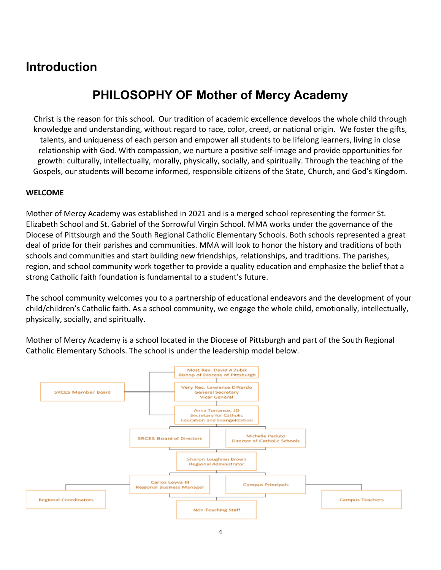# **Introduction**

# **PHILOSOPHY OF Mother of Mercy Academy**

Christ is the reason for this school. Our tradition of academic excellence develops the whole child through knowledge and understanding, without regard to race, color, creed, or national origin. We foster the gifts, talents, and uniqueness of each person and empower all students to be lifelong learners, living in close relationship with God. With compassion, we nurture a positive self-image and provide opportunities for growth: culturally, intellectually, morally, physically, socially, and spiritually. Through the teaching of the Gospels, our students will become informed, responsible citizens of the State, Church, and God's Kingdom.

#### **WELCOME**

Mother of Mercy Academy was established in 2021 and is a merged school representing the former St. Elizabeth School and St. Gabriel of the Sorrowful Virgin School. MMA works under the governance of the Diocese of Pittsburgh and the South Regional Catholic Elementary Schools. Both schools represented a great deal of pride for their parishes and communities. MMA will look to honor the history and traditions of both schools and communities and start building new friendships, relationships, and traditions. The parishes, region, and school community work together to provide a quality education and emphasize the belief that a strong Catholic faith foundation is fundamental to a student's future.

The school community welcomes you to a partnership of educational endeavors and the development of your child/children's Catholic faith. As a school community, we engage the whole child, emotionally, intellectually, physically, socially, and spiritually.

Mother of Mercy Academy is a school located in the Diocese of Pittsburgh and part of the South Regional Catholic Elementary Schools. The school is under the leadership model below.

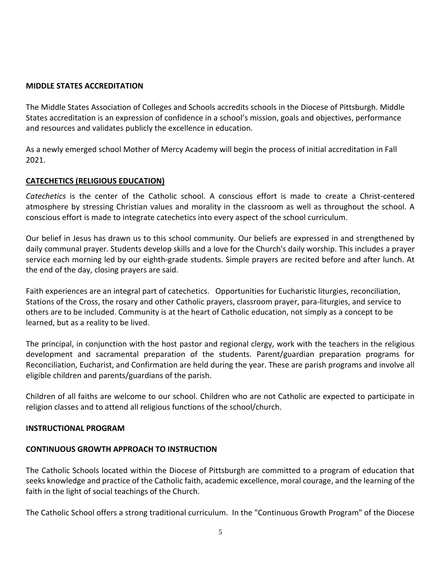#### **MIDDLE STATES ACCREDITATION**

The Middle States Association of Colleges and Schools accredits schools in the Diocese of Pittsburgh. Middle States accreditation is an expression of confidence in a school's mission, goals and objectives, performance and resources and validates publicly the excellence in education.

As a newly emerged school Mother of Mercy Academy will begin the process of initial accreditation in Fall 2021.

#### **CATECHETICS (RELIGIOUS EDUCATION)**

*Catechetics* is the center of the Catholic school. A conscious effort is made to create a Christ-centered atmosphere by stressing Christian values and morality in the classroom as well as throughout the school. A conscious effort is made to integrate catechetics into every aspect of the school curriculum.

Our belief in Jesus has drawn us to this school community. Our beliefs are expressed in and strengthened by daily communal prayer. Students develop skills and a love for the Church's daily worship. This includes a prayer service each morning led by our eighth-grade students. Simple prayers are recited before and after lunch. At the end of the day, closing prayers are said.

Faith experiences are an integral part of catechetics. Opportunities for Eucharistic liturgies, reconciliation, Stations of the Cross, the rosary and other Catholic prayers, classroom prayer, para-liturgies, and service to others are to be included. Community is at the heart of Catholic education, not simply as a concept to be learned, but as a reality to be lived.

The principal, in conjunction with the host pastor and regional clergy, work with the teachers in the religious development and sacramental preparation of the students. Parent/guardian preparation programs for Reconciliation, Eucharist, and Confirmation are held during the year. These are parish programs and involve all eligible children and parents/guardians of the parish.

Children of all faiths are welcome to our school. Children who are not Catholic are expected to participate in religion classes and to attend all religious functions of the school/church.

#### **INSTRUCTIONAL PROGRAM**

#### **CONTINUOUS GROWTH APPROACH TO INSTRUCTION**

The Catholic Schools located within the Diocese of Pittsburgh are committed to a program of education that seeks knowledge and practice of the Catholic faith, academic excellence, moral courage, and the learning of the faith in the light of social teachings of the Church.

The Catholic School offers a strong traditional curriculum. In the "Continuous Growth Program" of the Diocese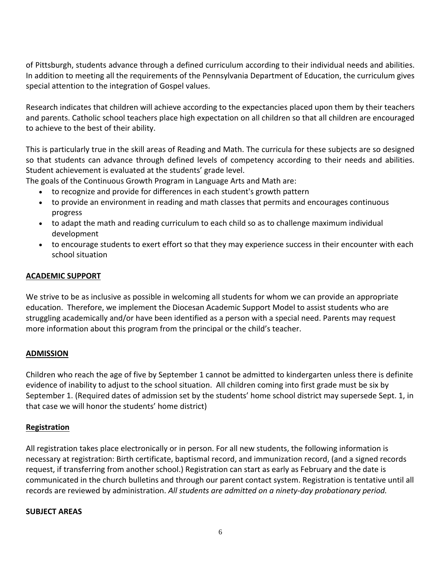of Pittsburgh, students advance through a defined curriculum according to their individual needs and abilities. In addition to meeting all the requirements of the Pennsylvania Department of Education, the curriculum gives special attention to the integration of Gospel values.

Research indicates that children will achieve according to the expectancies placed upon them by their teachers and parents. Catholic school teachers place high expectation on all children so that all children are encouraged to achieve to the best of their ability.

This is particularly true in the skill areas of Reading and Math. The curricula for these subjects are so designed so that students can advance through defined levels of competency according to their needs and abilities. Student achievement is evaluated at the students' grade level.

The goals of the Continuous Growth Program in Language Arts and Math are:

- to recognize and provide for differences in each student's growth pattern
- to provide an environment in reading and math classes that permits and encourages continuous progress
- to adapt the math and reading curriculum to each child so as to challenge maximum individual development
- to encourage students to exert effort so that they may experience success in their encounter with each school situation

#### **ACADEMIC SUPPORT**

We strive to be as inclusive as possible in welcoming all students for whom we can provide an appropriate education. Therefore, we implement the Diocesan Academic Support Model to assist students who are struggling academically and/or have been identified as a person with a special need. Parents may request more information about this program from the principal or the child's teacher.

#### **ADMISSION**

Children who reach the age of five by September 1 cannot be admitted to kindergarten unless there is definite evidence of inability to adjust to the school situation. All children coming into first grade must be six by September 1. (Required dates of admission set by the students' home school district may supersede Sept. 1, in that case we will honor the students' home district)

#### **Registration**

All registration takes place electronically or in person. For all new students, the following information is necessary at registration: Birth certificate, baptismal record, and immunization record, (and a signed records request, if transferring from another school.) Registration can start as early as February and the date is communicated in the church bulletins and through our parent contact system. Registration is tentative until all records are reviewed by administration. *All students are admitted on a ninety-day probationary period.*

#### **SUBJECT AREAS**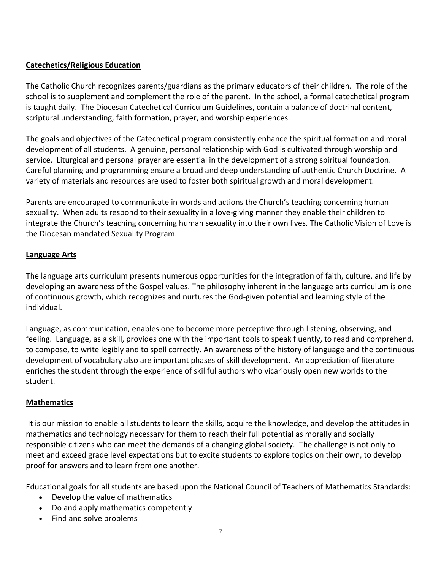#### **Catechetics/Religious Education**

The Catholic Church recognizes parents/guardians as the primary educators of their children. The role of the school is to supplement and complement the role of the parent. In the school, a formal catechetical program is taught daily. The Diocesan Catechetical Curriculum Guidelines, contain a balance of doctrinal content, scriptural understanding, faith formation, prayer, and worship experiences.

The goals and objectives of the Catechetical program consistently enhance the spiritual formation and moral development of all students. A genuine, personal relationship with God is cultivated through worship and service. Liturgical and personal prayer are essential in the development of a strong spiritual foundation. Careful planning and programming ensure a broad and deep understanding of authentic Church Doctrine. A variety of materials and resources are used to foster both spiritual growth and moral development.

Parents are encouraged to communicate in words and actions the Church's teaching concerning human sexuality. When adults respond to their sexuality in a love-giving manner they enable their children to integrate the Church's teaching concerning human sexuality into their own lives. The Catholic Vision of Love is the Diocesan mandated Sexuality Program.

#### **Language Arts**

The language arts curriculum presents numerous opportunities for the integration of faith, culture, and life by developing an awareness of the Gospel values. The philosophy inherent in the language arts curriculum is one of continuous growth, which recognizes and nurtures the God-given potential and learning style of the individual.

Language, as communication, enables one to become more perceptive through listening, observing, and feeling. Language, as a skill, provides one with the important tools to speak fluently, to read and comprehend, to compose, to write legibly and to spell correctly. An awareness of the history of language and the continuous development of vocabulary also are important phases of skill development. An appreciation of literature enriches the student through the experience of skillful authors who vicariously open new worlds to the student.

#### **Mathematics**

It is our mission to enable all students to learn the skills, acquire the knowledge, and develop the attitudes in mathematics and technology necessary for them to reach their full potential as morally and socially responsible citizens who can meet the demands of a changing global society. The challenge is not only to meet and exceed grade level expectations but to excite students to explore topics on their own, to develop proof for answers and to learn from one another.

Educational goals for all students are based upon the National Council of Teachers of Mathematics Standards:

- Develop the value of mathematics
- Do and apply mathematics competently
- Find and solve problems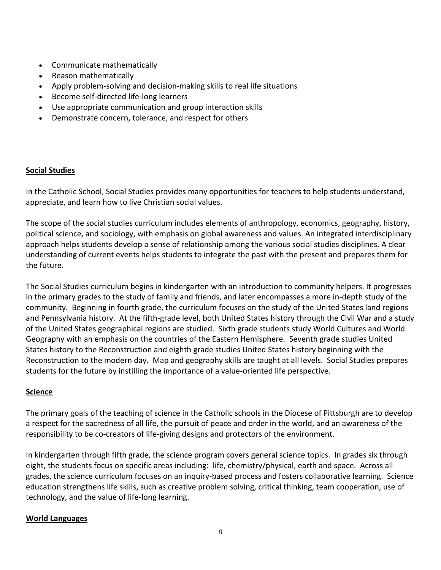- Communicate mathematically
- Reason mathematically
- Apply problem-solving and decision-making skills to real life situations
- Become self-directed life-long learners
- Use appropriate communication and group interaction skills
- Demonstrate concern, tolerance, and respect for others

#### **Social Studies**

In the Catholic School, Social Studies provides many opportunities for teachers to help students understand, appreciate, and learn how to live Christian social values.

The scope of the social studies curriculum includes elements of anthropology, economics, geography, history, political science, and sociology, with emphasis on global awareness and values. An integrated interdisciplinary approach helps students develop a sense of relationship among the various social studies disciplines. A clear understanding of current events helps students to integrate the past with the present and prepares them for the future.

The Social Studies curriculum begins in kindergarten with an introduction to community helpers. It progresses in the primary grades to the study of family and friends, and later encompasses a more in-depth study of the community. Beginning in fourth grade, the curriculum focuses on the study of the United States land regions and Pennsylvania history. At the fifth-grade level, both United States history through the Civil War and a study of the United States geographical regions are studied. Sixth grade students study World Cultures and World Geography with an emphasis on the countries of the Eastern Hemisphere. Seventh grade studies United States history to the Reconstruction and eighth grade studies United States history beginning with the Reconstruction to the modern day. Map and geography skills are taught at all levels. Social Studies prepares students for the future by instilling the importance of a value-oriented life perspective.

#### **Science**

The primary goals of the teaching of science in the Catholic schools in the Diocese of Pittsburgh are to develop a respect for the sacredness of all life, the pursuit of peace and order in the world, and an awareness of the responsibility to be co-creators of life-giving designs and protectors of the environment.

In kindergarten through fifth grade, the science program covers general science topics. In grades six through eight, the students focus on specific areas including: life, chemistry/physical, earth and space. Across all grades, the science curriculum focuses on an inquiry-based process and fosters collaborative learning. Science education strengthens life skills, such as creative problem solving, critical thinking, team cooperation, use of technology, and the value of life-long learning.

#### **World Languages**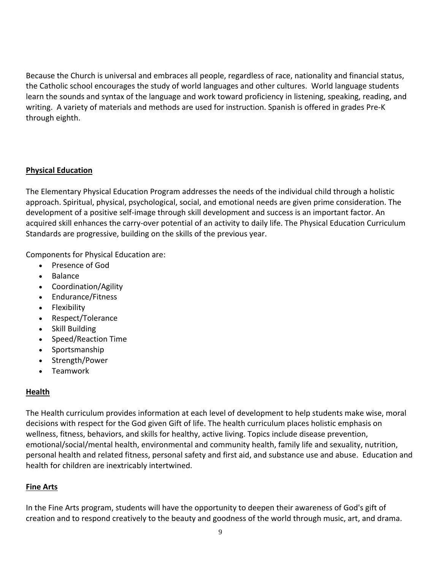Because the Church is universal and embraces all people, regardless of race, nationality and financial status, the Catholic school encourages the study of world languages and other cultures. World language students learn the sounds and syntax of the language and work toward proficiency in listening, speaking, reading, and writing. A variety of materials and methods are used for instruction. Spanish is offered in grades Pre-K through eighth.

#### **Physical Education**

The Elementary Physical Education Program addresses the needs of the individual child through a holistic approach. Spiritual, physical, psychological, social, and emotional needs are given prime consideration. The development of a positive self-image through skill development and success is an important factor. An acquired skill enhances the carry-over potential of an activity to daily life. The Physical Education Curriculum Standards are progressive, building on the skills of the previous year.

Components for Physical Education are:

- Presence of God
- Balance
- Coordination/Agility
- Endurance/Fitness
- Flexibility
- Respect/Tolerance
- Skill Building
- Speed/Reaction Time
- Sportsmanship
- Strength/Power
- Teamwork

# **Health**

The Health curriculum provides information at each level of development to help students make wise, moral decisions with respect for the God given Gift of life. The health curriculum places holistic emphasis on wellness, fitness, behaviors, and skills for healthy, active living. Topics include disease prevention, emotional/social/mental health, environmental and community health, family life and sexuality, nutrition, personal health and related fitness, personal safety and first aid, and substance use and abuse. Education and health for children are inextricably intertwined.

# **Fine Arts**

In the Fine Arts program, students will have the opportunity to deepen their awareness of God's gift of creation and to respond creatively to the beauty and goodness of the world through music, art, and drama.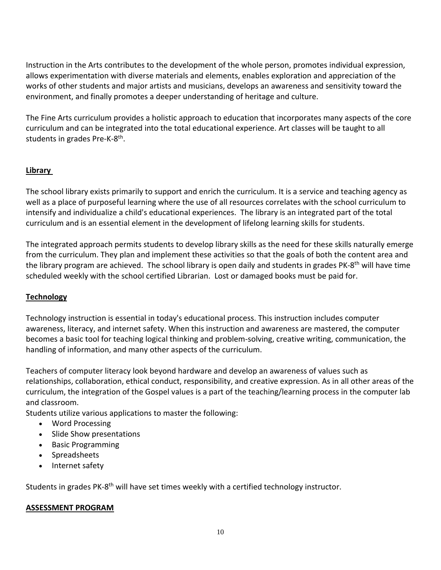Instruction in the Arts contributes to the development of the whole person, promotes individual expression, allows experimentation with diverse materials and elements, enables exploration and appreciation of the works of other students and major artists and musicians, develops an awareness and sensitivity toward the environment, and finally promotes a deeper understanding of heritage and culture.

The Fine Arts curriculum provides a holistic approach to education that incorporates many aspects of the core curriculum and can be integrated into the total educational experience. Art classes will be taught to all students in grades Pre-K-8<sup>th</sup>.

#### **Library**

The school library exists primarily to support and enrich the curriculum. It is a service and teaching agency as well as a place of purposeful learning where the use of all resources correlates with the school curriculum to intensify and individualize a child's educational experiences. The library is an integrated part of the total curriculum and is an essential element in the development of lifelong learning skills for students.

The integrated approach permits students to develop library skills as the need for these skills naturally emerge from the curriculum. They plan and implement these activities so that the goals of both the content area and the library program are achieved. The school library is open daily and students in grades PK-8<sup>th</sup> will have time scheduled weekly with the school certified Librarian. Lost or damaged books must be paid for.

# **Technology**

Technology instruction is essential in today's educational process. This instruction includes computer awareness, literacy, and internet safety. When this instruction and awareness are mastered, the computer becomes a basic tool for teaching logical thinking and problem-solving, creative writing, communication, the handling of information, and many other aspects of the curriculum.

Teachers of computer literacy look beyond hardware and develop an awareness of values such as relationships, collaboration, ethical conduct, responsibility, and creative expression. As in all other areas of the curriculum, the integration of the Gospel values is a part of the teaching/learning process in the computer lab and classroom.

Students utilize various applications to master the following:

- Word Processing
- Slide Show presentations
- Basic Programming
- Spreadsheets
- Internet safety

Students in grades PK-8<sup>th</sup> will have set times weekly with a certified technology instructor.

#### **ASSESSMENT PROGRAM**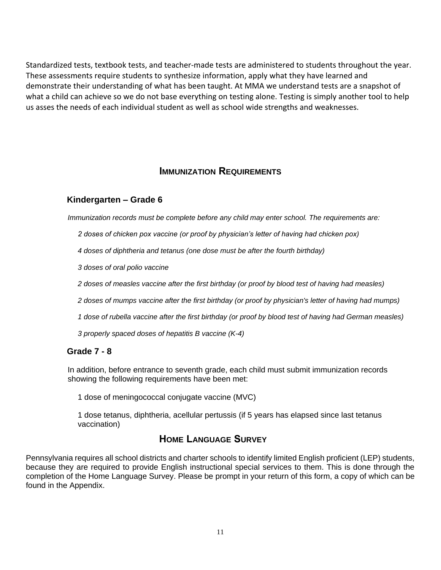Standardized tests, textbook tests, and teacher-made tests are administered to students throughout the year. These assessments require students to synthesize information, apply what they have learned and demonstrate their understanding of what has been taught. At MMA we understand tests are a snapshot of what a child can achieve so we do not base everything on testing alone. Testing is simply another tool to help us asses the needs of each individual student as well as school wide strengths and weaknesses.

# **IMMUNIZATION REQUIREMENTS**

#### **Kindergarten – Grade 6**

*Immunization records must be complete before any child may enter school. The requirements are:*

*2 doses of chicken pox vaccine (or proof by physician's letter of having had chicken pox)*

*4 doses of diphtheria and tetanus (one dose must be after the fourth birthday)*

*3 doses of oral polio vaccine*

*2 doses of measles vaccine after the first birthday (or proof by blood test of having had measles)*

*2 doses of mumps vaccine after the first birthday (or proof by physician's letter of having had mumps)*

*1 dose of rubella vaccine after the first birthday (or proof by blood test of having had German measles)*

*3 properly spaced doses of hepatitis B vaccine (K-4)*

#### **Grade 7 - 8**

In addition, before entrance to seventh grade, each child must submit immunization records showing the following requirements have been met:

1 dose of meningococcal conjugate vaccine (MVC)

1 dose tetanus, diphtheria, acellular pertussis (if 5 years has elapsed since last tetanus vaccination)

# **HOME LANGUAGE SURVEY**

Pennsylvania requires all school districts and charter schools to identify limited English proficient (LEP) students, because they are required to provide English instructional special services to them. This is done through the completion of the Home Language Survey. Please be prompt in your return of this form, a copy of which can be found in the Appendix.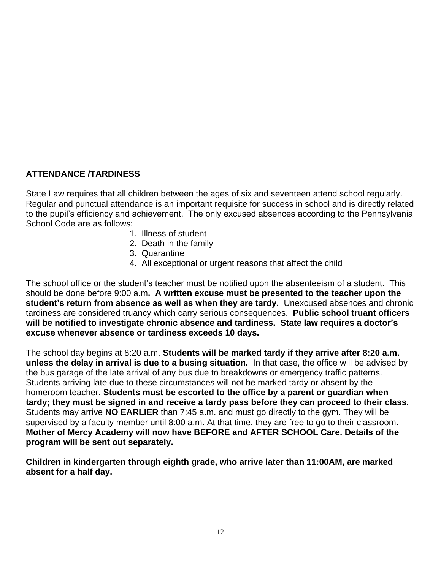# **ATTENDANCE /TARDINESS**

State Law requires that all children between the ages of six and seventeen attend school regularly. Regular and punctual attendance is an important requisite for success in school and is directly related to the pupil's efficiency and achievement. The only excused absences according to the Pennsylvania School Code are as follows:

- 1. Illness of student
- 2. Death in the family
- 3. Quarantine
- 4. All exceptional or urgent reasons that affect the child

The school office or the student's teacher must be notified upon the absenteeism of a student. This should be done before 9:00 a.m**. A written excuse must be presented to the teacher upon the student's return from absence as well as when they are tardy.** Unexcused absences and chronic tardiness are considered truancy which carry serious consequences. **Public school truant officers will be notified to investigate chronic absence and tardiness. State law requires a doctor's excuse whenever absence or tardiness exceeds 10 days.** 

The school day begins at 8:20 a.m. **Students will be marked tardy if they arrive after 8:20 a.m. unless the delay in arrival is due to a busing situation.** In that case, the office will be advised by the bus garage of the late arrival of any bus due to breakdowns or emergency traffic patterns. Students arriving late due to these circumstances will not be marked tardy or absent by the homeroom teacher. **Students must be escorted to the office by a parent or guardian when tardy; they must be signed in and receive a tardy pass before they can proceed to their class.** Students may arrive **NO EARLIER** than 7:45 a.m. and must go directly to the gym. They will be supervised by a faculty member until 8:00 a.m. At that time, they are free to go to their classroom. **Mother of Mercy Academy will now have BEFORE and AFTER SCHOOL Care. Details of the program will be sent out separately.** 

**Children in kindergarten through eighth grade, who arrive later than 11:00AM, are marked absent for a half day.**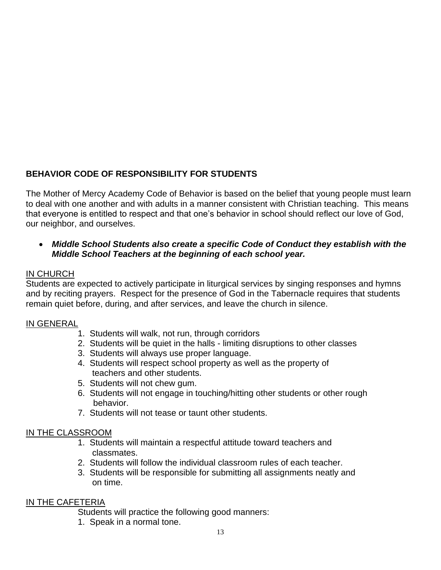# **BEHAVIOR CODE OF RESPONSIBILITY FOR STUDENTS**

The Mother of Mercy Academy Code of Behavior is based on the belief that young people must learn to deal with one another and with adults in a manner consistent with Christian teaching. This means that everyone is entitled to respect and that one's behavior in school should reflect our love of God, our neighbor, and ourselves.

#### • *Middle School Students also create a specific Code of Conduct they establish with the Middle School Teachers at the beginning of each school year.*

#### IN CHURCH

Students are expected to actively participate in liturgical services by singing responses and hymns and by reciting prayers. Respect for the presence of God in the Tabernacle requires that students remain quiet before, during, and after services, and leave the church in silence.

#### IN GENERAL

- 1. Students will walk, not run, through corridors
- 2. Students will be quiet in the halls limiting disruptions to other classes
- 3. Students will always use proper language.
- 4. Students will respect school property as well as the property of teachers and other students.
- 5. Students will not chew gum.
- 6. Students will not engage in touching/hitting other students or other rough behavior.
- 7. Students will not tease or taunt other students.

# IN THE CLASSROOM

- 1. Students will maintain a respectful attitude toward teachers and classmates.
- 2. Students will follow the individual classroom rules of each teacher.
- 3. Students will be responsible for submitting all assignments neatly and on time.

# IN THE CAFETERIA

Students will practice the following good manners:

1. Speak in a normal tone.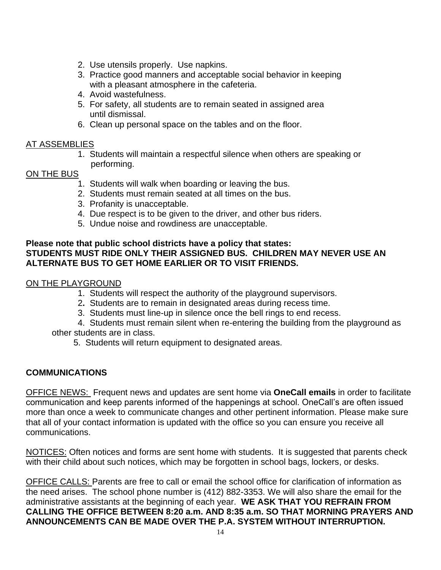- 2. Use utensils properly. Use napkins.
- 3. Practice good manners and acceptable social behavior in keeping with a pleasant atmosphere in the cafeteria.
- 4. Avoid wastefulness.
- 5. For safety, all students are to remain seated in assigned area until dismissal.
- 6. Clean up personal space on the tables and on the floor.

#### AT ASSEMBLIES

1. Students will maintain a respectful silence when others are speaking or performing.

#### ON THE BUS

- 1. Students will walk when boarding or leaving the bus.
- 2. Students must remain seated at all times on the bus.
- 3. Profanity is unacceptable.
- 4. Due respect is to be given to the driver, and other bus riders.
- 5. Undue noise and rowdiness are unacceptable.

#### **Please note that public school districts have a policy that states: STUDENTS MUST RIDE ONLY THEIR ASSIGNED BUS. CHILDREN MAY NEVER USE AN ALTERNATE BUS TO GET HOME EARLIER OR TO VISIT FRIENDS.**

# ON THE PLAYGROUND

- 1. Students will respect the authority of the playground supervisors.
- 2**.** Students are to remain in designated areas during recess time.
- 3. Students must line-up in silence once the bell rings to end recess.

4. Students must remain silent when re-entering the building from the playground as other students are in class.

5. Students will return equipment to designated areas.

# **COMMUNICATIONS**

OFFICE NEWS: Frequent news and updates are sent home via **OneCall emails** in order to facilitate communication and keep parents informed of the happenings at school. OneCall's are often issued more than once a week to communicate changes and other pertinent information. Please make sure that all of your contact information is updated with the office so you can ensure you receive all communications.

NOTICES: Often notices and forms are sent home with students. It is suggested that parents check with their child about such notices, which may be forgotten in school bags, lockers, or desks.

OFFICE CALLS: Parents are free to call or email the school office for clarification of information as the need arises. The school phone number is (412) 882-3353. We will also share the email for the administrative assistants at the beginning of each year. **WE ASK THAT YOU REFRAIN FROM CALLING THE OFFICE BETWEEN 8:20 a.m. AND 8:35 a.m. SO THAT MORNING PRAYERS AND ANNOUNCEMENTS CAN BE MADE OVER THE P.A. SYSTEM WITHOUT INTERRUPTION.**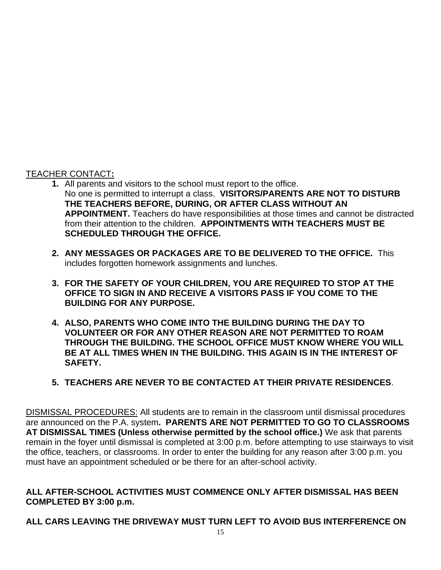# TEACHER CONTACT**:**

- **1.** All parents and visitors to the school must report to the office. No one is permitted to interrupt a class. **VISITORS/PARENTS ARE NOT TO DISTURB THE TEACHERS BEFORE, DURING, OR AFTER CLASS WITHOUT AN APPOINTMENT.** Teachers do have responsibilities at those times and cannot be distracted from their attention to the children. **APPOINTMENTS WITH TEACHERS MUST BE SCHEDULED THROUGH THE OFFICE.**
- **2. ANY MESSAGES OR PACKAGES ARE TO BE DELIVERED TO THE OFFICE.** This includes forgotten homework assignments and lunches.
- **3. FOR THE SAFETY OF YOUR CHILDREN, YOU ARE REQUIRED TO STOP AT THE OFFICE TO SIGN IN AND RECEIVE A VISITORS PASS IF YOU COME TO THE BUILDING FOR ANY PURPOSE.**
- **4. ALSO, PARENTS WHO COME INTO THE BUILDING DURING THE DAY TO VOLUNTEER OR FOR ANY OTHER REASON ARE NOT PERMITTED TO ROAM THROUGH THE BUILDING. THE SCHOOL OFFICE MUST KNOW WHERE YOU WILL BE AT ALL TIMES WHEN IN THE BUILDING. THIS AGAIN IS IN THE INTEREST OF SAFETY.**
- **5. TEACHERS ARE NEVER TO BE CONTACTED AT THEIR PRIVATE RESIDENCES**.

DISMISSAL PROCEDURES: All students are to remain in the classroom until dismissal procedures are announced on the P.A. system**. PARENTS ARE NOT PERMITTED TO GO TO CLASSROOMS AT DISMISSAL TIMES (Unless otherwise permitted by the school office.)** We ask that parents remain in the foyer until dismissal is completed at 3:00 p.m. before attempting to use stairways to visit the office, teachers, or classrooms. In order to enter the building for any reason after 3:00 p.m. you must have an appointment scheduled or be there for an after-school activity.

# **ALL AFTER-SCHOOL ACTIVITIES MUST COMMENCE ONLY AFTER DISMISSAL HAS BEEN COMPLETED BY 3:00 p.m.**

# **ALL CARS LEAVING THE DRIVEWAY MUST TURN LEFT TO AVOID BUS INTERFERENCE ON**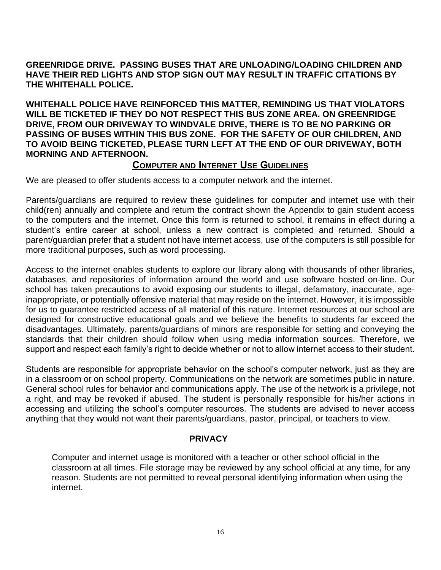#### **GREENRIDGE DRIVE. PASSING BUSES THAT ARE UNLOADING/LOADING CHILDREN AND HAVE THEIR RED LIGHTS AND STOP SIGN OUT MAY RESULT IN TRAFFIC CITATIONS BY THE WHITEHALL POLICE.**

**WHITEHALL POLICE HAVE REINFORCED THIS MATTER, REMINDING US THAT VIOLATORS WILL BE TICKETED IF THEY DO NOT RESPECT THIS BUS ZONE AREA. ON GREENRIDGE DRIVE, FROM OUR DRIVEWAY TO WINDVALE DRIVE, THERE IS TO BE NO PARKING OR PASSING OF BUSES WITHIN THIS BUS ZONE. FOR THE SAFETY OF OUR CHILDREN, AND TO AVOID BEING TICKETED, PLEASE TURN LEFT AT THE END OF OUR DRIVEWAY, BOTH MORNING AND AFTERNOON.**

# **COMPUTER AND INTERNET USE GUIDELINES**

We are pleased to offer students access to a computer network and the internet.

Parents/guardians are required to review these guidelines for computer and internet use with their child(ren) annually and complete and return the contract shown the Appendix to gain student access to the computers and the internet. Once this form is returned to school, it remains in effect during a student's entire career at school, unless a new contract is completed and returned. Should a parent/guardian prefer that a student not have internet access, use of the computers is still possible for more traditional purposes, such as word processing.

Access to the internet enables students to explore our library along with thousands of other libraries, databases, and repositories of information around the world and use software hosted on-line. Our school has taken precautions to avoid exposing our students to illegal, defamatory, inaccurate, ageinappropriate, or potentially offensive material that may reside on the internet. However, it is impossible for us to guarantee restricted access of all material of this nature. Internet resources at our school are designed for constructive educational goals and we believe the benefits to students far exceed the disadvantages. Ultimately, parents/guardians of minors are responsible for setting and conveying the standards that their children should follow when using media information sources. Therefore, we support and respect each family's right to decide whether or not to allow internet access to their student.

Students are responsible for appropriate behavior on the school's computer network, just as they are in a classroom or on school property. Communications on the network are sometimes public in nature. General school rules for behavior and communications apply. The use of the network is a privilege, not a right, and may be revoked if abused. The student is personally responsible for his/her actions in accessing and utilizing the school's computer resources. The students are advised to never access anything that they would not want their parents/guardians, pastor, principal, or teachers to view.

#### **PRIVACY**

Computer and internet usage is monitored with a teacher or other school official in the classroom at all times. File storage may be reviewed by any school official at any time, for any reason. Students are not permitted to reveal personal identifying information when using the internet.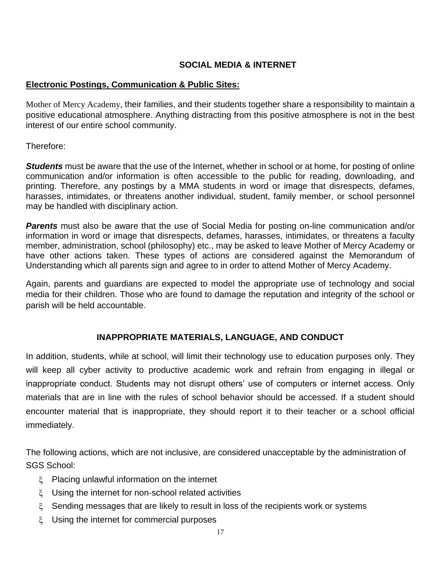# **SOCIAL MEDIA & INTERNET**

# **Electronic Postings, Communication & Public Sites:**

Mother of Mercy Academy, their families, and their students together share a responsibility to maintain a positive educational atmosphere. Anything distracting from this positive atmosphere is not in the best interest of our entire school community.

Therefore:

**Students** must be aware that the use of the Internet, whether in school or at home, for posting of online communication and/or information is often accessible to the public for reading, downloading, and printing. Therefore, any postings by a MMA students in word or image that disrespects, defames, harasses, intimidates, or threatens another individual, student, family member, or school personnel may be handled with disciplinary action.

*Parents* must also be aware that the use of Social Media for posting on-line communication and/or information in word or image that disrespects, defames, harasses, intimidates, or threatens a faculty member, administration, school (philosophy) etc., may be asked to leave Mother of Mercy Academy or have other actions taken. These types of actions are considered against the Memorandum of Understanding which all parents sign and agree to in order to attend Mother of Mercy Academy.

Again, parents and guardians are expected to model the appropriate use of technology and social media for their children. Those who are found to damage the reputation and integrity of the school or parish will be held accountable.

# **INAPPROPRIATE MATERIALS, LANGUAGE, AND CONDUCT**

In addition, students, while at school, will limit their technology use to education purposes only. They will keep all cyber activity to productive academic work and refrain from engaging in illegal or inappropriate conduct. Students may not disrupt others' use of computers or internet access. Only materials that are in line with the rules of school behavior should be accessed. If a student should encounter material that is inappropriate, they should report it to their teacher or a school official immediately.

The following actions, which are not inclusive, are considered unacceptable by the administration of SGS School:

- Placing unlawful information on the internet
- Using the internet for non-school related activities
- $\xi$  Sending messages that are likely to result in loss of the recipients work or systems
- Using the internet for commercial purposes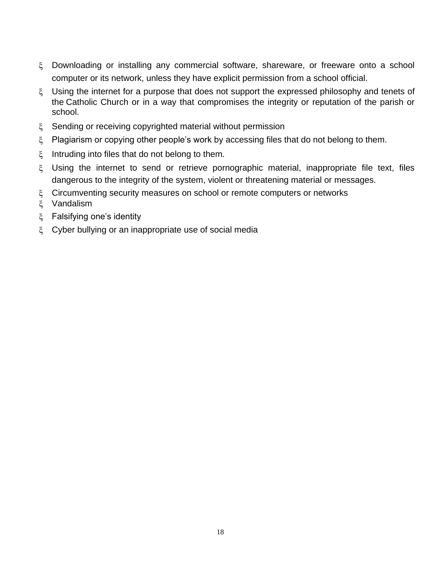- Downloading or installing any commercial software, shareware, or freeware onto a school computer or its network, unless they have explicit permission from a school official.
- $\zeta$  Using the internet for a purpose that does not support the expressed philosophy and tenets of the Catholic Church or in a way that compromises the integrity or reputation of the parish or school.
- $\zeta$  Sending or receiving copyrighted material without permission
- $\zeta$  Plagiarism or copying other people's work by accessing files that do not belong to them.
- $\zeta$  Intruding into files that do not belong to them.
- Using the internet to send or retrieve pornographic material, inappropriate file text, files dangerous to the integrity of the system, violent or threatening material or messages.
- $\zeta$  Circumventing security measures on school or remote computers or networks
- Vandalism
- ξ Falsifying one's identity
- Cyber bullying or an inappropriate use of social media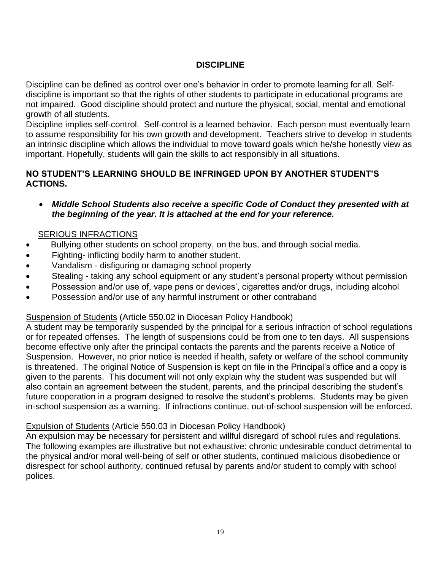# **DISCIPLINE**

Discipline can be defined as control over one's behavior in order to promote learning for all. Selfdiscipline is important so that the rights of other students to participate in educational programs are not impaired. Good discipline should protect and nurture the physical, social, mental and emotional growth of all students.

Discipline implies self-control. Self-control is a learned behavior. Each person must eventually learn to assume responsibility for his own growth and development. Teachers strive to develop in students an intrinsic discipline which allows the individual to move toward goals which he/she honestly view as important. Hopefully, students will gain the skills to act responsibly in all situations.

#### **NO STUDENT'S LEARNING SHOULD BE INFRINGED UPON BY ANOTHER STUDENT'S ACTIONS.**

• *Middle School Students also receive a specific Code of Conduct they presented with at the beginning of the year. It is attached at the end for your reference.*

# SERIOUS INFRACTIONS

- Bullying other students on school property, on the bus, and through social media.
- Fighting- inflicting bodily harm to another student.
- Vandalism disfiguring or damaging school property
- Stealing taking any school equipment or any student's personal property without permission
- Possession and/or use of, vape pens or devices', cigarettes and/or drugs, including alcohol
- Possession and/or use of any harmful instrument or other contraband

#### Suspension of Students (Article 550.02 in Diocesan Policy Handbook)

A student may be temporarily suspended by the principal for a serious infraction of school regulations or for repeated offenses. The length of suspensions could be from one to ten days. All suspensions become effective only after the principal contacts the parents and the parents receive a Notice of Suspension. However, no prior notice is needed if health, safety or welfare of the school community is threatened. The original Notice of Suspension is kept on file in the Principal's office and a copy is given to the parents. This document will not only explain why the student was suspended but will also contain an agreement between the student, parents, and the principal describing the student's future cooperation in a program designed to resolve the student's problems. Students may be given in-school suspension as a warning. If infractions continue, out-of-school suspension will be enforced.

#### Expulsion of Students (Article 550.03 in Diocesan Policy Handbook)

An expulsion may be necessary for persistent and willful disregard of school rules and regulations. The following examples are illustrative but not exhaustive: chronic undesirable conduct detrimental to the physical and/or moral well-being of self or other students, continued malicious disobedience or disrespect for school authority, continued refusal by parents and/or student to comply with school polices.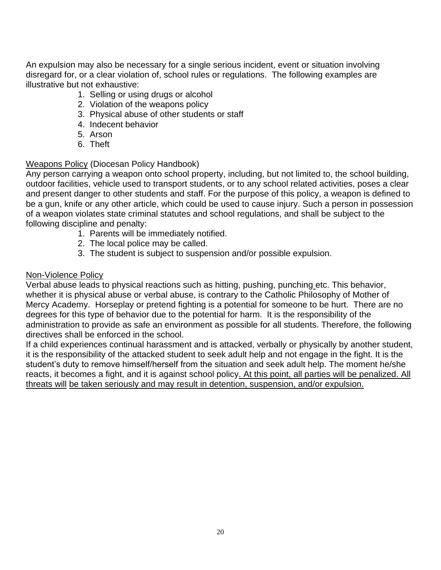An expulsion may also be necessary for a single serious incident, event or situation involving disregard for, or a clear violation of, school rules or regulations. The following examples are illustrative but not exhaustive:

- 1. Selling or using drugs or alcohol
- 2. Violation of the weapons policy
- 3. Physical abuse of other students or staff
- 4. Indecent behavior
- 5. Arson
- 6. Theft

#### Weapons Policy (Diocesan Policy Handbook)

Any person carrying a weapon onto school property, including, but not limited to, the school building, outdoor facilities, vehicle used to transport students, or to any school related activities, poses a clear and present danger to other students and staff. For the purpose of this policy, a weapon is defined to be a gun, knife or any other article, which could be used to cause injury. Such a person in possession of a weapon violates state criminal statutes and school regulations, and shall be subject to the following discipline and penalty:

- 1. Parents will be immediately notified.
- 2. The local police may be called.
- 3. The student is subject to suspension and/or possible expulsion.

#### Non-Violence Policy

Verbal abuse leads to physical reactions such as hitting, pushing, punching etc. This behavior, whether it is physical abuse or verbal abuse, is contrary to the Catholic Philosophy of Mother of Mercy Academy.Horseplay or pretend fighting is a potential for someone to be hurt. There are no degrees for this type of behavior due to the potential for harm. It is the responsibility of the administration to provide as safe an environment as possible for all students. Therefore, the following directives shall be enforced in the school.

If a child experiences continual harassment and is attacked, verbally or physically by another student, it is the responsibility of the attacked student to seek adult help and not engage in the fight. It is the student's duty to remove himself/herself from the situation and seek adult help. The moment he/she reacts, it becomes a fight, and it is against school policy. At this point, all parties will be penalized. All threats will be taken seriously and may result in detention, suspension, and/or expulsion.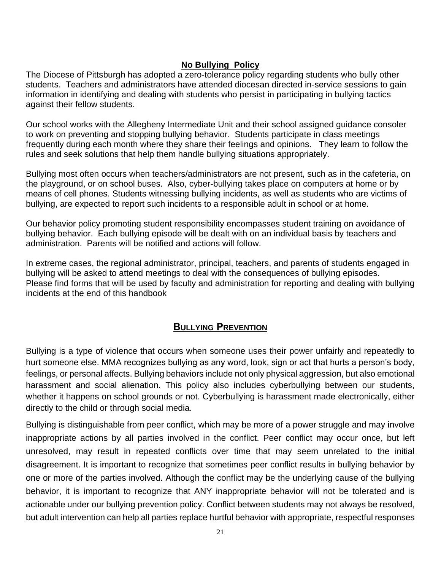# **No Bullying Policy**

The Diocese of Pittsburgh has adopted a zero-tolerance policy regarding students who bully other students. Teachers and administrators have attended diocesan directed in-service sessions to gain information in identifying and dealing with students who persist in participating in bullying tactics against their fellow students.

Our school works with the Allegheny Intermediate Unit and their school assigned guidance consoler to work on preventing and stopping bullying behavior. Students participate in class meetings frequently during each month where they share their feelings and opinions. They learn to follow the rules and seek solutions that help them handle bullying situations appropriately.

Bullying most often occurs when teachers/administrators are not present, such as in the cafeteria, on the playground, or on school buses. Also, cyber-bullying takes place on computers at home or by means of cell phones. Students witnessing bullying incidents, as well as students who are victims of bullying, are expected to report such incidents to a responsible adult in school or at home.

Our behavior policy promoting student responsibility encompasses student training on avoidance of bullying behavior. Each bullying episode will be dealt with on an individual basis by teachers and administration. Parents will be notified and actions will follow.

In extreme cases, the regional administrator, principal, teachers, and parents of students engaged in bullying will be asked to attend meetings to deal with the consequences of bullying episodes. Please find forms that will be used by faculty and administration for reporting and dealing with bullying incidents at the end of this handbook

# **BULLYING PREVENTION**

Bullying is a type of violence that occurs when someone uses their power unfairly and repeatedly to hurt someone else. MMA recognizes bullying as any word, look, sign or act that hurts a person's body, feelings, or personal affects. Bullying behaviors include not only physical aggression, but also emotional harassment and social alienation. This policy also includes cyberbullying between our students, whether it happens on school grounds or not. Cyberbullying is harassment made electronically, either directly to the child or through social media.

Bullying is distinguishable from peer conflict, which may be more of a power struggle and may involve inappropriate actions by all parties involved in the conflict. Peer conflict may occur once, but left unresolved, may result in repeated conflicts over time that may seem unrelated to the initial disagreement. It is important to recognize that sometimes peer conflict results in bullying behavior by one or more of the parties involved. Although the conflict may be the underlying cause of the bullying behavior, it is important to recognize that ANY inappropriate behavior will not be tolerated and is actionable under our bullying prevention policy. Conflict between students may not always be resolved, but adult intervention can help all parties replace hurtful behavior with appropriate, respectful responses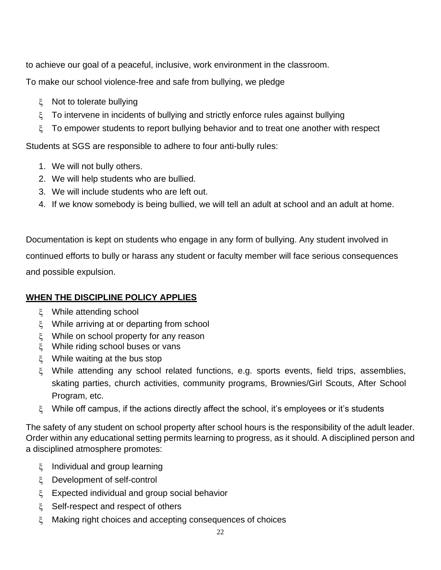to achieve our goal of a peaceful, inclusive, work environment in the classroom.

To make our school violence-free and safe from bullying, we pledge

- ξ Not to tolerate bullying
- $\zeta$  To intervene in incidents of bullying and strictly enforce rules against bullying
- To empower students to report bullying behavior and to treat one another with respect

Students at SGS are responsible to adhere to four anti-bully rules:

- 1. We will not bully others.
- 2. We will help students who are bullied.
- 3. We will include students who are left out.
- 4. If we know somebody is being bullied, we will tell an adult at school and an adult at home.

Documentation is kept on students who engage in any form of bullying. Any student involved in continued efforts to bully or harass any student or faculty member will face serious consequences and possible expulsion.

# **WHEN THE DISCIPLINE POLICY APPLIES**

- ξ While attending school
- While arriving at or departing from school
- While on school property for any reason
- While riding school buses or vans
- While waiting at the bus stop
- While attending any school related functions, e.g. sports events, field trips, assemblies, skating parties, church activities, community programs, Brownies/Girl Scouts, After School Program, etc.
- $\xi$  While off campus, if the actions directly affect the school, it's employees or it's students

The safety of any student on school property after school hours is the responsibility of the adult leader. Order within any educational setting permits learning to progress, as it should. A disciplined person and a disciplined atmosphere promotes:

- $\zeta$  Individual and group learning
- Development of self-control
- Expected individual and group social behavior
- $\zeta$  Self-respect and respect of others
- Making right choices and accepting consequences of choices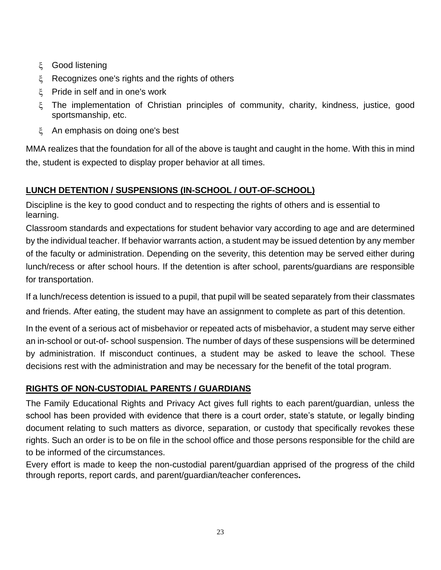- ξ Good listening
- ξ Recognizes one's rights and the rights of others
- Pride in self and in one's work
- The implementation of Christian principles of community, charity, kindness, justice, good sportsmanship, etc.
- An emphasis on doing one's best

MMA realizes that the foundation for all of the above is taught and caught in the home. With this in mind the, student is expected to display proper behavior at all times.

# **LUNCH DETENTION / SUSPENSIONS (IN-SCHOOL / OUT-OF-SCHOOL)**

Discipline is the key to good conduct and to respecting the rights of others and is essential to learning.

Classroom standards and expectations for student behavior vary according to age and are determined by the individual teacher. If behavior warrants action, a student may be issued detention by any member of the faculty or administration. Depending on the severity, this detention may be served either during lunch/recess or after school hours. If the detention is after school, parents/guardians are responsible for transportation.

If a lunch/recess detention is issued to a pupil, that pupil will be seated separately from their classmates and friends. After eating, the student may have an assignment to complete as part of this detention.

In the event of a serious act of misbehavior or repeated acts of misbehavior, a student may serve either an in-school or out-of- school suspension. The number of days of these suspensions will be determined by administration. If misconduct continues, a student may be asked to leave the school. These decisions rest with the administration and may be necessary for the benefit of the total program.

# **RIGHTS OF NON-CUSTODIAL PARENTS / GUARDIANS**

The Family Educational Rights and Privacy Act gives full rights to each parent/guardian, unless the school has been provided with evidence that there is a court order, state's statute, or legally binding document relating to such matters as divorce, separation, or custody that specifically revokes these rights. Such an order is to be on file in the school office and those persons responsible for the child are to be informed of the circumstances.

Every effort is made to keep the non-custodial parent/guardian apprised of the progress of the child through reports, report cards, and parent/guardian/teacher conferences**.**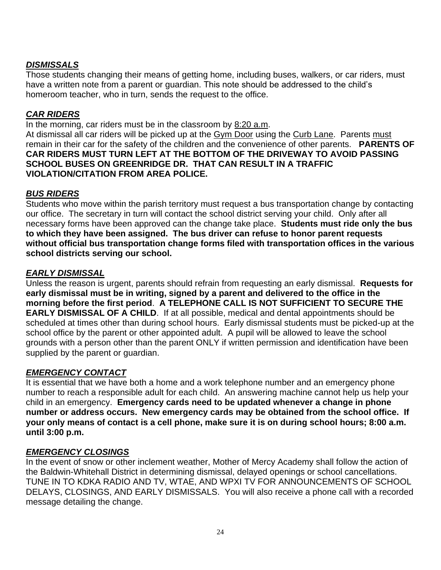# *DISMISSALS*

Those students changing their means of getting home, including buses, walkers, or car riders, must have a written note from a parent or guardian. This note should be addressed to the child's homeroom teacher, who in turn, sends the request to the office.

# *CAR RIDERS*

In the morning, car riders must be in the classroom by 8:20 a.m.

At dismissal all car riders will be picked up at the Gym Door using the Curb Lane. Parents must remain in their car for the safety of the children and the convenience of other parents. **PARENTS OF CAR RIDERS MUST TURN LEFT AT THE BOTTOM OF THE DRIVEWAY TO AVOID PASSING SCHOOL BUSES ON GREENRIDGE DR. THAT CAN RESULT IN A TRAFFIC VIOLATION/CITATION FROM AREA POLICE.**

# *BUS RIDERS*

Students who move within the parish territory must request a bus transportation change by contacting our office. The secretary in turn will contact the school district serving your child. Only after all necessary forms have been approved can the change take place. **Students must ride only the bus to which they have been assigned. The bus driver can refuse to honor parent requests without official bus transportation change forms filed with transportation offices in the various school districts serving our school.**

#### *EARLY DISMISSAL*

Unless the reason is urgent, parents should refrain from requesting an early dismissal. **Requests for early dismissal must be in writing, signed by a parent and delivered to the office in the morning before the first period**. **A TELEPHONE CALL IS NOT SUFFICIENT TO SECURE THE EARLY DISMISSAL OF A CHILD.** If at all possible, medical and dental appointments should be scheduled at times other than during school hours. Early dismissal students must be picked-up at the school office by the parent or other appointed adult. A pupil will be allowed to leave the school grounds with a person other than the parent ONLY if written permission and identification have been supplied by the parent or guardian.

# *EMERGENCY CONTACT*

It is essential that we have both a home and a work telephone number and an emergency phone number to reach a responsible adult for each child. An answering machine cannot help us help your child in an emergency. **Emergency cards need to be updated whenever a change in phone number or address occurs. New emergency cards may be obtained from the school office. If your only means of contact is a cell phone, make sure it is on during school hours; 8:00 a.m. until 3:00 p.m.**

#### *EMERGENCY CLOSINGS*

In the event of snow or other inclement weather, Mother of Mercy Academy shall follow the action of the Baldwin-Whitehall District in determining dismissal, delayed openings or school cancellations. TUNE IN TO KDKA RADIO AND TV, WTAE, AND WPXI TV FOR ANNOUNCEMENTS OF SCHOOL DELAYS, CLOSINGS, AND EARLY DISMISSALS. You will also receive a phone call with a recorded message detailing the change.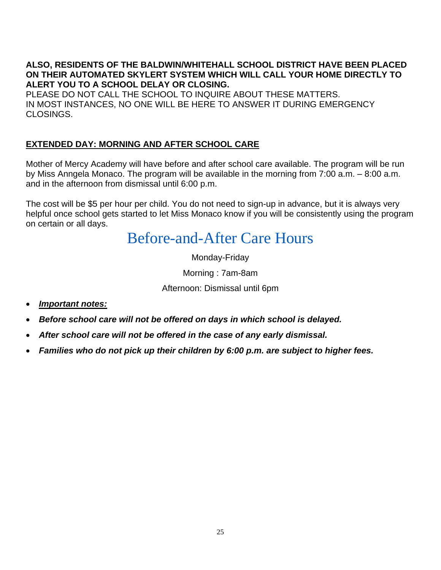**ALSO, RESIDENTS OF THE BALDWIN/WHITEHALL SCHOOL DISTRICT HAVE BEEN PLACED ON THEIR AUTOMATED SKYLERT SYSTEM WHICH WILL CALL YOUR HOME DIRECTLY TO ALERT YOU TO A SCHOOL DELAY OR CLOSING.**

PLEASE DO NOT CALL THE SCHOOL TO INQUIRE ABOUT THESE MATTERS. IN MOST INSTANCES, NO ONE WILL BE HERE TO ANSWER IT DURING EMERGENCY CLOSINGS.

# **EXTENDED DAY: MORNING AND AFTER SCHOOL CARE**

Mother of Mercy Academy will have before and after school care available. The program will be run by Miss Anngela Monaco. The program will be available in the morning from 7:00 a.m. – 8:00 a.m. and in the afternoon from dismissal until 6:00 p.m.

The cost will be \$5 per hour per child. You do not need to sign-up in advance, but it is always very helpful once school gets started to let Miss Monaco know if you will be consistently using the program on certain or all days.

# Before-and-After Care Hours

Monday-Friday

Morning : 7am-8am

Afternoon: Dismissal until 6pm

- *Important notes:*
- *Before school care will not be offered on days in which school is delayed.*
- *After school care will not be offered in the case of any early dismissal.*
- *Families who do not pick up their children by 6:00 p.m. are subject to higher fees.*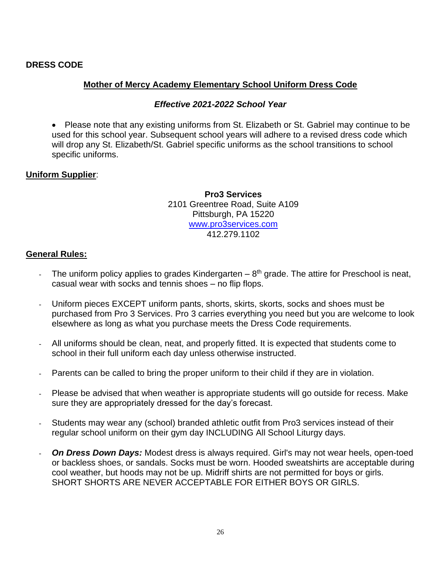#### **DRESS CODE**

#### **Mother of Mercy Academy Elementary School Uniform Dress Code**

#### *Effective 2021-2022 School Year*

• Please note that any existing uniforms from St. Elizabeth or St. Gabriel may continue to be used for this school year. Subsequent school years will adhere to a revised dress code which will drop any St. Elizabeth/St. Gabriel specific uniforms as the school transitions to school specific uniforms.

#### **Uniform Supplier**:

**Pro3 Services** 2101 Greentree Road, Suite A109 Pittsburgh, PA 15220 [www.pro3services.com](http://www.pro3services.com/) 412.279.1102

#### **General Rules:**

- The uniform policy applies to grades Kindergarten  $-8<sup>th</sup>$  grade. The attire for Preschool is neat, casual wear with socks and tennis shoes – no flip flops.
- Uniform pieces EXCEPT uniform pants, shorts, skirts, skorts, socks and shoes must be purchased from Pro 3 Services. Pro 3 carries everything you need but you are welcome to look elsewhere as long as what you purchase meets the Dress Code requirements.
- All uniforms should be clean, neat, and properly fitted. It is expected that students come to school in their full uniform each day unless otherwise instructed.
- Parents can be called to bring the proper uniform to their child if they are in violation.
- Please be advised that when weather is appropriate students will go outside for recess. Make sure they are appropriately dressed for the day's forecast.
- Students may wear any (school) branded athletic outfit from Pro3 services instead of their regular school uniform on their gym day INCLUDING All School Liturgy days.
- **On Dress Down Days:** Modest dress is always required. Girl's may not wear heels, open-toed or backless shoes, or sandals. Socks must be worn. Hooded sweatshirts are acceptable during cool weather, but hoods may not be up. Midriff shirts are not permitted for boys or girls. SHORT SHORTS ARE NEVER ACCEPTABLE FOR EITHER BOYS OR GIRLS.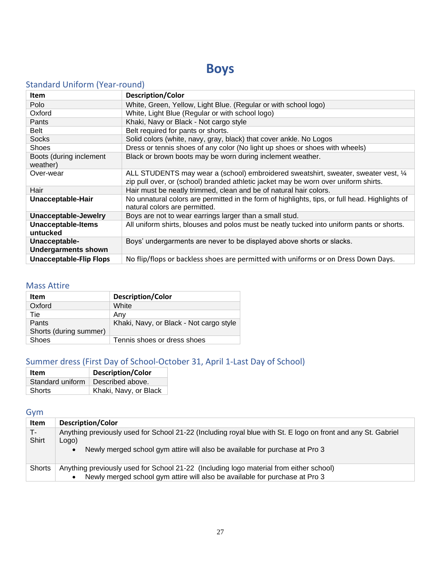# **Boys**

# Standard Uniform (Year-round)

| <b>Item</b>                                 | <b>Description/Color</b>                                                                                                                                                   |
|---------------------------------------------|----------------------------------------------------------------------------------------------------------------------------------------------------------------------------|
| Polo                                        | White, Green, Yellow, Light Blue. (Regular or with school logo)                                                                                                            |
| Oxford                                      | White, Light Blue (Regular or with school logo)                                                                                                                            |
| Pants                                       | Khaki, Navy or Black - Not cargo style                                                                                                                                     |
| Belt                                        | Belt required for pants or shorts.                                                                                                                                         |
| <b>Socks</b>                                | Solid colors (white, navy, gray, black) that cover ankle. No Logos                                                                                                         |
| <b>Shoes</b>                                | Dress or tennis shoes of any color (No light up shoes or shoes with wheels)                                                                                                |
| Boots (during inclement<br>weather)         | Black or brown boots may be worn during inclement weather.                                                                                                                 |
| Over-wear                                   | ALL STUDENTS may wear a (school) embroidered sweatshirt, sweater, sweater vest, 1/4<br>zip pull over, or (school) branded athletic jacket may be worn over uniform shirts. |
| Hair                                        | Hair must be neatly trimmed, clean and be of natural hair colors.                                                                                                          |
| Unacceptable-Hair                           | No unnatural colors are permitted in the form of highlights, tips, or full head. Highlights of<br>natural colors are permitted.                                            |
| Unacceptable-Jewelry                        | Boys are not to wear earrings larger than a small stud.                                                                                                                    |
| <b>Unacceptable-Items</b><br>untucked       | All uniform shirts, blouses and polos must be neatly tucked into uniform pants or shorts.                                                                                  |
| Unacceptable-<br><b>Undergarments shown</b> | Boys' undergarments are never to be displayed above shorts or slacks.                                                                                                      |
| <b>Unacceptable-Flip Flops</b>              | No flip/flops or backless shoes are permitted with uniforms or on Dress Down Days.                                                                                         |

#### Mass Attire

| Item                   | <b>Description/Color</b>                |
|------------------------|-----------------------------------------|
| Oxford                 | White                                   |
| Tie                    | Any                                     |
| Pants                  | Khaki, Navy, or Black - Not cargo style |
| Shorts (during summer) |                                         |
| Shoes                  | Tennis shoes or dress shoes             |

# Summer dress (First Day of School-October 31, April 1-Last Day of School)

| Item             | <b>Description/Color</b> |  |
|------------------|--------------------------|--|
| Standard uniform | Described above.         |  |
| Shorts           | Khaki, Navy, or Black    |  |

# Gym

| Item    | <b>Description/Color</b>                                                                                     |
|---------|--------------------------------------------------------------------------------------------------------------|
| 7 T - 7 | Anything previously used for School 21-22 (Including royal blue with St. E logo on front and any St. Gabriel |
| Shirt   | Logo)                                                                                                        |
|         | Newly merged school gym attire will also be available for purchase at Pro 3                                  |
|         |                                                                                                              |
| Shorts  | Anything previously used for School 21-22 (Including logo material from either school)                       |
|         | Newly merged school gym attire will also be available for purchase at Pro 3<br>٠                             |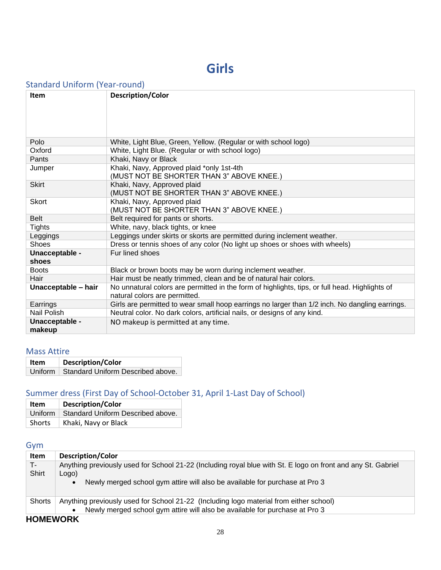# **Girls**

# Standard Uniform (Year-round)

| Item                     | Description/Color                                                                                                               |
|--------------------------|---------------------------------------------------------------------------------------------------------------------------------|
| Polo                     | White, Light Blue, Green, Yellow. (Regular or with school logo)                                                                 |
| Oxford                   | White, Light Blue. (Regular or with school logo)                                                                                |
| Pants                    | Khaki, Navy or Black                                                                                                            |
| Jumper                   | Khaki, Navy, Approved plaid *only 1st-4th<br>(MUST NOT BE SHORTER THAN 3" ABOVE KNEE.)                                          |
| <b>Skirt</b>             | Khaki, Navy, Approved plaid<br>(MUST NOT BE SHORTER THAN 3" ABOVE KNEE.)                                                        |
| <b>Skort</b>             | Khaki, Navy, Approved plaid<br>(MUST NOT BE SHORTER THAN 3" ABOVE KNEE.)                                                        |
| <b>Belt</b>              | Belt required for pants or shorts.                                                                                              |
| <b>Tights</b>            | White, navy, black tights, or knee                                                                                              |
| Leggings                 | Leggings under skirts or skorts are permitted during inclement weather.                                                         |
| <b>Shoes</b>             | Dress or tennis shoes of any color (No light up shoes or shoes with wheels)                                                     |
| Unacceptable -<br>shoes  | Fur lined shoes                                                                                                                 |
| <b>Boots</b>             | Black or brown boots may be worn during inclement weather.                                                                      |
| Hair                     | Hair must be neatly trimmed, clean and be of natural hair colors.                                                               |
| Unacceptable - hair      | No unnatural colors are permitted in the form of highlights, tips, or full head. Highlights of<br>natural colors are permitted. |
| Earrings                 | Girls are permitted to wear small hoop earrings no larger than 1/2 inch. No dangling earrings.                                  |
| Nail Polish              | Neutral color. No dark colors, artificial nails, or designs of any kind.                                                        |
| Unacceptable -<br>makeup | NO makeup is permitted at any time.                                                                                             |

#### Mass Attire

| ltem | <b>Description/Color</b>                    |  |
|------|---------------------------------------------|--|
|      | Uniform   Standard Uniform Described above. |  |

# Summer dress (First Day of School-October 31, April 1-Last Day of School)

| Item   | <b>Description/Color</b>                    |  |
|--------|---------------------------------------------|--|
|        | Uniform   Standard Uniform Described above. |  |
| Shorts | Khaki, Navy or Black                        |  |

# Gym

| <b>Description/Color</b>                                                                                     |
|--------------------------------------------------------------------------------------------------------------|
| Anything previously used for School 21-22 (Including royal blue with St. E logo on front and any St. Gabriel |
| Logo)                                                                                                        |
| Newly merged school gym attire will also be available for purchase at Pro 3                                  |
|                                                                                                              |
| Anything previously used for School 21-22 (Including logo material from either school)                       |
| Newly merged school gym attire will also be available for purchase at Pro 3<br>٠                             |
|                                                                                                              |

#### **HOMEWORK**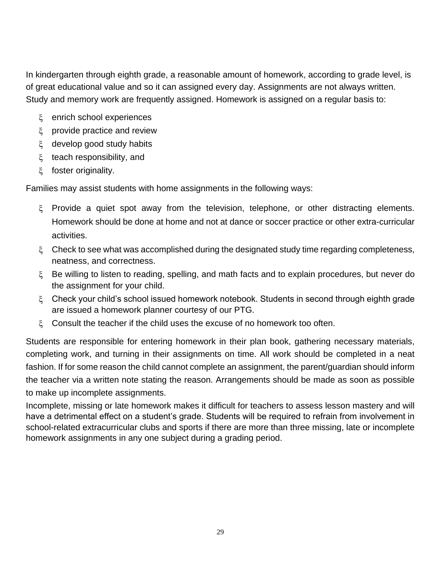In kindergarten through eighth grade, a reasonable amount of homework, according to grade level, is of great educational value and so it can assigned every day. Assignments are not always written. Study and memory work are frequently assigned. Homework is assigned on a regular basis to:

- enrich school experiences
- provide practice and review
- develop good study habits
- $\zeta$  teach responsibility, and
- foster originality.

Families may assist students with home assignments in the following ways:

- Provide a quiet spot away from the television, telephone, or other distracting elements. Homework should be done at home and not at dance or soccer practice or other extra-curricular activities.
- $\zeta$  Check to see what was accomplished during the designated study time regarding completeness, neatness, and correctness.
- Be willing to listen to reading, spelling, and math facts and to explain procedures, but never do the assignment for your child.
- Check your child's school issued homework notebook. Students in second through eighth grade are issued a homework planner courtesy of our PTG.
- $\xi$  Consult the teacher if the child uses the excuse of no homework too often.

Students are responsible for entering homework in their plan book, gathering necessary materials, completing work, and turning in their assignments on time. All work should be completed in a neat fashion. If for some reason the child cannot complete an assignment, the parent/guardian should inform the teacher via a written note stating the reason. Arrangements should be made as soon as possible to make up incomplete assignments.

Incomplete, missing or late homework makes it difficult for teachers to assess lesson mastery and will have a detrimental effect on a student's grade. Students will be required to refrain from involvement in school-related extracurricular clubs and sports if there are more than three missing, late or incomplete homework assignments in any one subject during a grading period.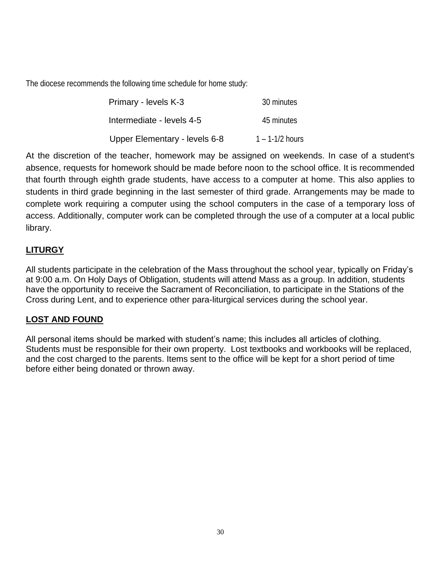The diocese recommends the following time schedule for home study:

| Primary - levels K-3          | 30 minutes          |
|-------------------------------|---------------------|
| Intermediate - levels 4-5     | 45 minutes          |
| Upper Elementary - levels 6-8 | $1 - 1 - 1/2$ hours |

At the discretion of the teacher, homework may be assigned on weekends. In case of a student's absence, requests for homework should be made before noon to the school office. It is recommended that fourth through eighth grade students, have access to a computer at home. This also applies to students in third grade beginning in the last semester of third grade. Arrangements may be made to complete work requiring a computer using the school computers in the case of a temporary loss of access. Additionally, computer work can be completed through the use of a computer at a local public library.

# **LITURGY**

All students participate in the celebration of the Mass throughout the school year, typically on Friday's at 9:00 a.m. On Holy Days of Obligation, students will attend Mass as a group. In addition, students have the opportunity to receive the Sacrament of Reconciliation, to participate in the Stations of the Cross during Lent, and to experience other para-liturgical services during the school year.

# **LOST AND FOUND**

All personal items should be marked with student's name; this includes all articles of clothing. Students must be responsible for their own property. Lost textbooks and workbooks will be replaced, and the cost charged to the parents. Items sent to the office will be kept for a short period of time before either being donated or thrown away.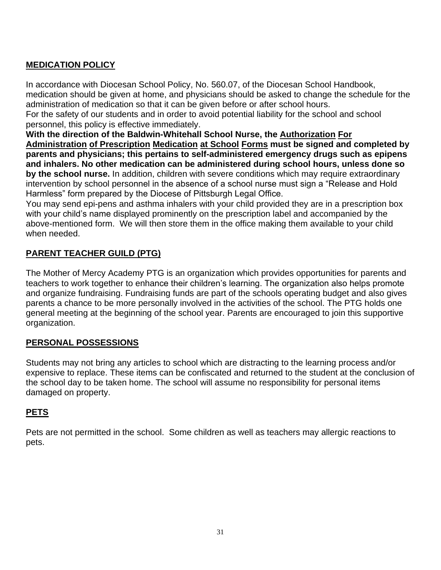# **MEDICATION POLICY**

In accordance with Diocesan School Policy, No. 560.07, of the Diocesan School Handbook, medication should be given at home, and physicians should be asked to change the schedule for the administration of medication so that it can be given before or after school hours.

For the safety of our students and in order to avoid potential liability for the school and school personnel, this policy is effective immediately.

**With the direction of the Baldwin-Whitehall School Nurse, the Authorization For Administration of Prescription Medication at School Forms must be signed and completed by parents and physicians; this pertains to self-administered emergency drugs such as epipens and inhalers. No other medication can be administered during school hours, unless done so by the school nurse.** In addition, children with severe conditions which may require extraordinary intervention by school personnel in the absence of a school nurse must sign a "Release and Hold Harmless" form prepared by the Diocese of Pittsburgh Legal Office.

You may send epi-pens and asthma inhalers with your child provided they are in a prescription box with your child's name displayed prominently on the prescription label and accompanied by the above-mentioned form. We will then store them in the office making them available to your child when needed.

# **PARENT TEACHER GUILD (PTG)**

The Mother of Mercy Academy PTG is an organization which provides opportunities for parents and teachers to work together to enhance their children's learning. The organization also helps promote and organize fundraising. Fundraising funds are part of the schools operating budget and also gives parents a chance to be more personally involved in the activities of the school. The PTG holds one general meeting at the beginning of the school year. Parents are encouraged to join this supportive organization.

# **PERSONAL POSSESSIONS**

Students may not bring any articles to school which are distracting to the learning process and/or expensive to replace. These items can be confiscated and returned to the student at the conclusion of the school day to be taken home. The school will assume no responsibility for personal items damaged on property.

# **PETS**

Pets are not permitted in the school. Some children as well as teachers may allergic reactions to pets.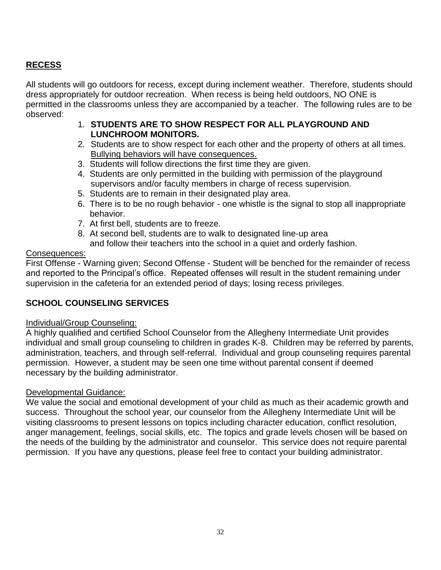# **RECESS**

All students will go outdoors for recess, except during inclement weather. Therefore, students should dress appropriately for outdoor recreation. When recess is being held outdoors, NO ONE is permitted in the classrooms unless they are accompanied by a teacher. The following rules are to be observed:

- 1. **STUDENTS ARE TO SHOW RESPECT FOR ALL PLAYGROUND AND LUNCHROOM MONITORS.**
- 2. Students are to show respect for each other and the property of others at all times. Bullying behaviors will have consequences.
- 3. Students will follow directions the first time they are given.
- 4. Students are only permitted in the building with permission of the playground supervisors and/or faculty members in charge of recess supervision.
- 5. Students are to remain in their designated play area.
- 6. There is to be no rough behavior one whistle is the signal to stop all inappropriate behavior.
- 7. At first bell, students are to freeze.
- 8. At second bell, students are to walk to designated line-up area
	- and follow their teachers into the school in a quiet and orderly fashion.

#### Consequences:

First Offense - Warning given; Second Offense - Student will be benched for the remainder of recess and reported to the Principal's office. Repeated offenses will result in the student remaining under supervision in the cafeteria for an extended period of days; losing recess privileges.

# **SCHOOL COUNSELING SERVICES**

#### Individual/Group Counseling:

A highly qualified and certified School Counselor from the Allegheny Intermediate Unit provides individual and small group counseling to children in grades K-8. Children may be referred by parents, administration, teachers, and through self-referral. Individual and group counseling requires parental permission. However, a student may be seen one time without parental consent if deemed necessary by the building administrator.

#### Developmental Guidance:

We value the social and emotional development of your child as much as their academic growth and success. Throughout the school year, our counselor from the Allegheny Intermediate Unit will be visiting classrooms to present lessons on topics including character education, conflict resolution, anger management, feelings, social skills, etc. The topics and grade levels chosen will be based on the needs of the building by the administrator and counselor. This service does not require parental permission. If you have any questions, please feel free to contact your building administrator.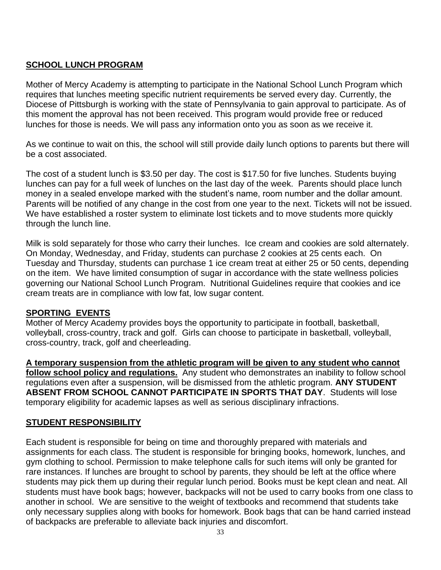# **SCHOOL LUNCH PROGRAM**

Mother of Mercy Academy is attempting to participate in the National School Lunch Program which requires that lunches meeting specific nutrient requirements be served every day. Currently, the Diocese of Pittsburgh is working with the state of Pennsylvania to gain approval to participate. As of this moment the approval has not been received. This program would provide free or reduced lunches for those is needs. We will pass any information onto you as soon as we receive it.

As we continue to wait on this, the school will still provide daily lunch options to parents but there will be a cost associated.

The cost of a student lunch is \$3.50 per day. The cost is \$17.50 for five lunches. Students buying lunches can pay for a full week of lunches on the last day of the week. Parents should place lunch money in a sealed envelope marked with the student's name, room number and the dollar amount. Parents will be notified of any change in the cost from one year to the next. Tickets will not be issued. We have established a roster system to eliminate lost tickets and to move students more quickly through the lunch line.

Milk is sold separately for those who carry their lunches. Ice cream and cookies are sold alternately. On Monday, Wednesday, and Friday, students can purchase 2 cookies at 25 cents each. On Tuesday and Thursday, students can purchase 1 ice cream treat at either 25 or 50 cents, depending on the item. We have limited consumption of sugar in accordance with the state wellness policies governing our National School Lunch Program. Nutritional Guidelines require that cookies and ice cream treats are in compliance with low fat, low sugar content.

#### **SPORTING EVENTS**

Mother of Mercy Academy provides boys the opportunity to participate in football, basketball, volleyball, cross-country, track and golf. Girls can choose to participate in basketball, volleyball, cross-country, track, golf and cheerleading.

**A temporary suspension from the athletic program will be given to any student who cannot follow school policy and regulations.** Any student who demonstrates an inability to follow school regulations even after a suspension, will be dismissed from the athletic program. **ANY STUDENT ABSENT FROM SCHOOL CANNOT PARTICIPATE IN SPORTS THAT DAY**. Students will lose temporary eligibility for academic lapses as well as serious disciplinary infractions.

# **STUDENT RESPONSIBILITY**

Each student is responsible for being on time and thoroughly prepared with materials and assignments for each class. The student is responsible for bringing books, homework, lunches, and gym clothing to school. Permission to make telephone calls for such items will only be granted for rare instances. If lunches are brought to school by parents, they should be left at the office where students may pick them up during their regular lunch period. Books must be kept clean and neat. All students must have book bags; however, backpacks will not be used to carry books from one class to another in school. We are sensitive to the weight of textbooks and recommend that students take only necessary supplies along with books for homework. Book bags that can be hand carried instead of backpacks are preferable to alleviate back injuries and discomfort.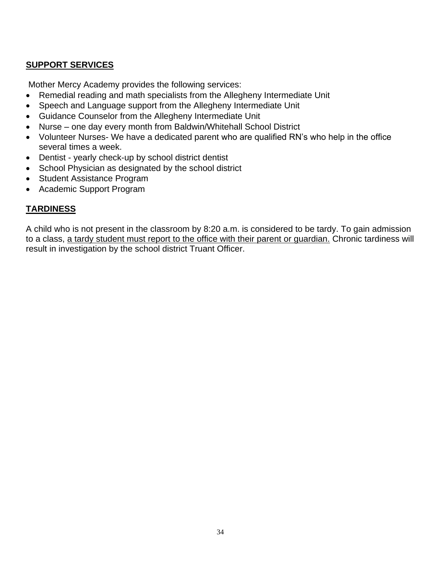# **SUPPORT SERVICES**

Mother Mercy Academy provides the following services:

- Remedial reading and math specialists from the Allegheny Intermediate Unit
- Speech and Language support from the Allegheny Intermediate Unit
- Guidance Counselor from the Allegheny Intermediate Unit
- Nurse one day every month from Baldwin/Whitehall School District
- Volunteer Nurses- We have a dedicated parent who are qualified RN's who help in the office several times a week.
- Dentist yearly check-up by school district dentist
- School Physician as designated by the school district
- Student Assistance Program
- Academic Support Program

# **TARDINESS**

A child who is not present in the classroom by 8:20 a.m. is considered to be tardy. To gain admission to a class, a tardy student must report to the office with their parent or guardian. Chronic tardiness will result in investigation by the school district Truant Officer.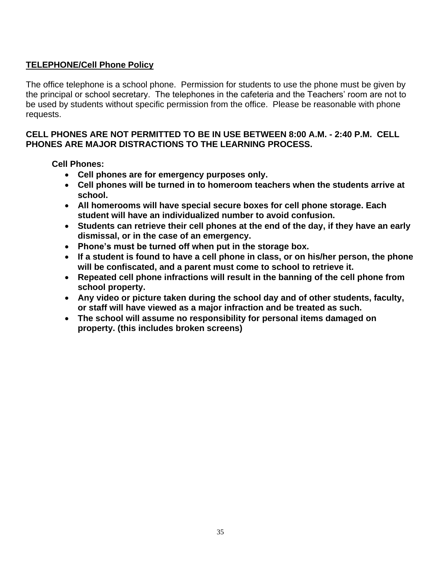# **TELEPHONE/Cell Phone Policy**

The office telephone is a school phone. Permission for students to use the phone must be given by the principal or school secretary. The telephones in the cafeteria and the Teachers' room are not to be used by students without specific permission from the office. Please be reasonable with phone requests.

#### **CELL PHONES ARE NOT PERMITTED TO BE IN USE BETWEEN 8:00 A.M. - 2:40 P.M. CELL PHONES ARE MAJOR DISTRACTIONS TO THE LEARNING PROCESS.**

**Cell Phones:**

- **Cell phones are for emergency purposes only.**
- **Cell phones will be turned in to homeroom teachers when the students arrive at school.**
- **All homerooms will have special secure boxes for cell phone storage. Each student will have an individualized number to avoid confusion.**
- **Students can retrieve their cell phones at the end of the day, if they have an early dismissal, or in the case of an emergency.**
- **Phone's must be turned off when put in the storage box.**
- **If a student is found to have a cell phone in class, or on his/her person, the phone will be confiscated, and a parent must come to school to retrieve it.**
- **Repeated cell phone infractions will result in the banning of the cell phone from school property.**
- **Any video or picture taken during the school day and of other students, faculty, or staff will have viewed as a major infraction and be treated as such.**
- **The school will assume no responsibility for personal items damaged on property. (this includes broken screens)**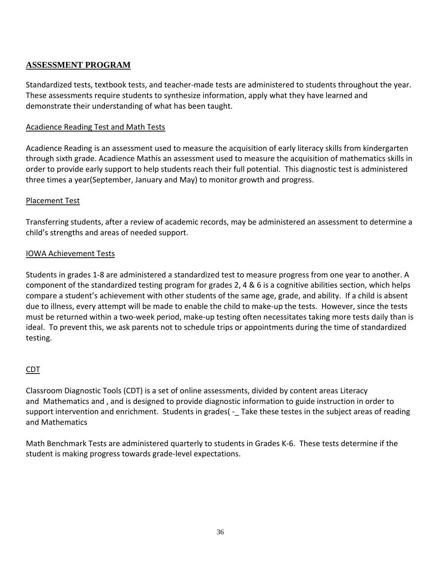### **ASSESSMENT PROGRAM**

Standardized tests, textbook tests, and teacher-made tests are administered to students throughout the year. These assessments require students to synthesize information, apply what they have learned and demonstrate their understanding of what has been taught.

#### Acadience Reading Test and Math Tests

Acadience Reading is an assessment used to measure the acquisition of early literacy skills from kindergarten through sixth grade. Acadience Mathis an assessment used to measure the acquisition of mathematics skills in order to provide early support to help students reach their full potential. This diagnostic test is administered three times a year(September, January and May) to monitor growth and progress.

#### Placement Test

Transferring students, after a review of academic records, may be administered an assessment to determine a child's strengths and areas of needed support.

#### IOWA Achievement Tests

Students in grades 1-8 are administered a standardized test to measure progress from one year to another. A component of the standardized testing program for grades 2, 4 & 6 is a cognitive abilities section, which helps compare a student's achievement with other students of the same age, grade, and ability. If a child is absent due to illness, every attempt will be made to enable the child to make-up the tests. However, since the tests must be returned within a two-week period, make-up testing often necessitates taking more tests daily than is ideal. To prevent this, we ask parents not to schedule trips or appointments during the time of standardized testing.

#### CDT

Classroom Diagnostic Tools (CDT) is a set of online assessments, divided by content areas Literacy and Mathematics and , and is designed to provide diagnostic information to guide instruction in order to support intervention and enrichment. Students in grades( - Take these testes in the subject areas of reading and Mathematics

Math Benchmark Tests are administered quarterly to students in Grades K-6. These tests determine if the student is making progress towards grade-level expectations.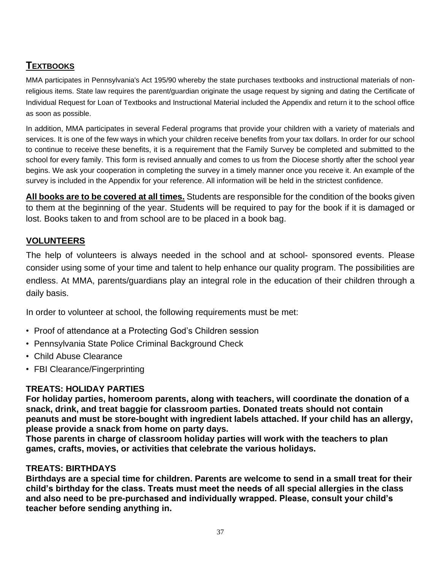# **TEXTBOOKS**

MMA participates in Pennsylvania's Act 195/90 whereby the state purchases textbooks and instructional materials of nonreligious items. State law requires the parent/guardian originate the usage request by signing and dating the Certificate of Individual Request for Loan of Textbooks and Instructional Material included the Appendix and return it to the school office as soon as possible.

In addition, MMA participates in several Federal programs that provide your children with a variety of materials and services. It is one of the few ways in which your children receive benefits from your tax dollars. In order for our school to continue to receive these benefits, it is a requirement that the Family Survey be completed and submitted to the school for every family. This form is revised annually and comes to us from the Diocese shortly after the school year begins. We ask your cooperation in completing the survey in a timely manner once you receive it. An example of the survey is included in the Appendix for your reference. All information will be held in the strictest confidence.

**All books are to be covered at all times.** Students are responsible for the condition of the books given to them at the beginning of the year. Students will be required to pay for the book if it is damaged or lost. Books taken to and from school are to be placed in a book bag.

# **VOLUNTEERS**

The help of volunteers is always needed in the school and at school- sponsored events. Please consider using some of your time and talent to help enhance our quality program. The possibilities are endless. At MMA, parents/guardians play an integral role in the education of their children through a daily basis.

In order to volunteer at school, the following requirements must be met:

- Proof of attendance at a Protecting God's Children session
- Pennsylvania State Police Criminal Background Check
- Child Abuse Clearance
- FBI Clearance/Fingerprinting

# **TREATS: HOLIDAY PARTIES**

**For holiday parties, homeroom parents, along with teachers, will coordinate the donation of a snack, drink, and treat baggie for classroom parties. Donated treats should not contain peanuts and must be store-bought with ingredient labels attached. If your child has an allergy, please provide a snack from home on party days.** 

**Those parents in charge of classroom holiday parties will work with the teachers to plan games, crafts, movies, or activities that celebrate the various holidays.** 

# **TREATS: BIRTHDAYS**

**Birthdays are a special time for children. Parents are welcome to send in a small treat for their child's birthday for the class. Treats must meet the needs of all special allergies in the class and also need to be pre-purchased and individually wrapped. Please, consult your child's teacher before sending anything in.**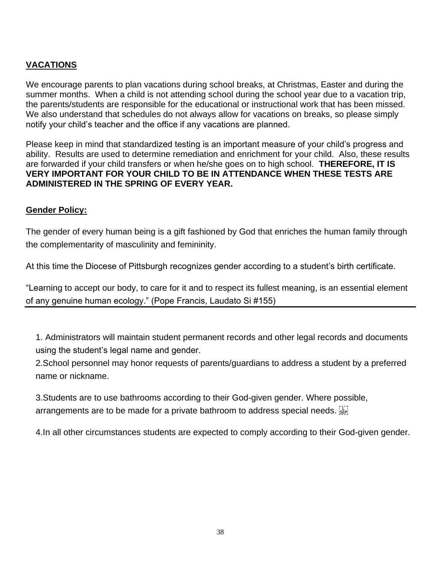# **VACATIONS**

We encourage parents to plan vacations during school breaks, at Christmas, Easter and during the summer months. When a child is not attending school during the school year due to a vacation trip, the parents/students are responsible for the educational or instructional work that has been missed. We also understand that schedules do not always allow for vacations on breaks, so please simply notify your child's teacher and the office if any vacations are planned.

Please keep in mind that standardized testing is an important measure of your child's progress and ability. Results are used to determine remediation and enrichment for your child. Also, these results are forwarded if your child transfers or when he/she goes on to high school. **THEREFORE, IT IS VERY IMPORTANT FOR YOUR CHILD TO BE IN ATTENDANCE WHEN THESE TESTS ARE ADMINISTERED IN THE SPRING OF EVERY YEAR.**

# **Gender Policy:**

The gender of every human being is a gift fashioned by God that enriches the human family through the complementarity of masculinity and femininity.

At this time the Diocese of Pittsburgh recognizes gender according to a student's birth certificate.

"Learning to accept our body, to care for it and to respect its fullest meaning, is an essential element of any genuine human ecology." (Pope Francis, Laudato Si #155)

1. Administrators will maintain student permanent records and other legal records and documents using the student's legal name and gender.

2.School personnel may honor requests of parents/guardians to address a student by a preferred name or nickname.

3.Students are to use bathrooms according to their God-given gender. Where possible, arrangements are to be made for a private bathroom to address special needs.

4.In all other circumstances students are expected to comply according to their God-given gender.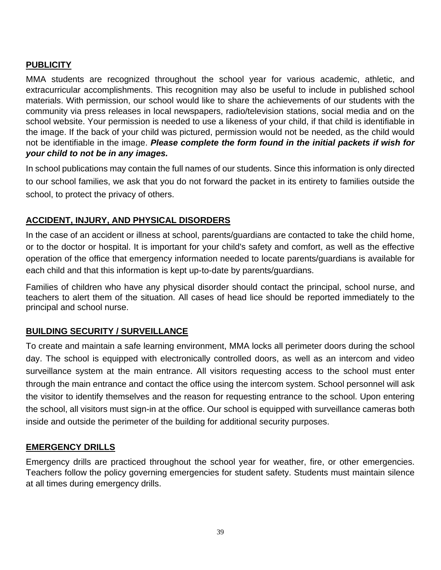# **PUBLICITY**

MMA students are recognized throughout the school year for various academic, athletic, and extracurricular accomplishments. This recognition may also be useful to include in published school materials. With permission, our school would like to share the achievements of our students with the community via press releases in local newspapers, radio/television stations, social media and on the school website. Your permission is needed to use a likeness of your child, if that child is identifiable in the image. If the back of your child was pictured, permission would not be needed, as the child would not be identifiable in the image. *Please complete the form found in the initial packets if wish for your child to not be in any images.* 

In school publications may contain the full names of our students. Since this information is only directed to our school families, we ask that you do not forward the packet in its entirety to families outside the school, to protect the privacy of others.

#### **ACCIDENT, INJURY, AND PHYSICAL DISORDERS**

In the case of an accident or illness at school, parents/guardians are contacted to take the child home, or to the doctor or hospital. It is important for your child's safety and comfort, as well as the effective operation of the office that emergency information needed to locate parents/guardians is available for each child and that this information is kept up-to-date by parents/guardians.

Families of children who have any physical disorder should contact the principal, school nurse, and teachers to alert them of the situation. All cases of head lice should be reported immediately to the principal and school nurse.

#### **BUILDING SECURITY / SURVEILLANCE**

To create and maintain a safe learning environment, MMA locks all perimeter doors during the school day. The school is equipped with electronically controlled doors, as well as an intercom and video surveillance system at the main entrance. All visitors requesting access to the school must enter through the main entrance and contact the office using the intercom system. School personnel will ask the visitor to identify themselves and the reason for requesting entrance to the school. Upon entering the school, all visitors must sign-in at the office. Our school is equipped with surveillance cameras both inside and outside the perimeter of the building for additional security purposes.

#### **EMERGENCY DRILLS**

Emergency drills are practiced throughout the school year for weather, fire, or other emergencies. Teachers follow the policy governing emergencies for student safety. Students must maintain silence at all times during emergency drills.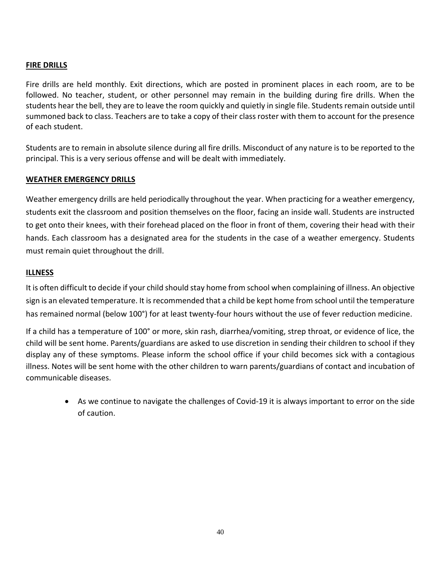#### **FIRE DRILLS**

Fire drills are held monthly. Exit directions, which are posted in prominent places in each room, are to be followed. No teacher, student, or other personnel may remain in the building during fire drills. When the students hear the bell, they are to leave the room quickly and quietly in single file. Students remain outside until summoned back to class. Teachers are to take a copy of their class roster with them to account for the presence of each student.

Students are to remain in absolute silence during all fire drills. Misconduct of any nature is to be reported to the principal. This is a very serious offense and will be dealt with immediately.

#### **WEATHER EMERGENCY DRILLS**

Weather emergency drills are held periodically throughout the year. When practicing for a weather emergency, students exit the classroom and position themselves on the floor, facing an inside wall. Students are instructed to get onto their knees, with their forehead placed on the floor in front of them, covering their head with their hands. Each classroom has a designated area for the students in the case of a weather emergency. Students must remain quiet throughout the drill.

#### **ILLNESS**

It is often difficult to decide if your child should stay home from school when complaining of illness. An objective sign is an elevated temperature. It is recommended that a child be kept home from school until the temperature has remained normal (below 100°) for at least twenty-four hours without the use of fever reduction medicine.

If a child has a temperature of 100° or more, skin rash, diarrhea/vomiting, strep throat, or evidence of lice, the child will be sent home. Parents/guardians are asked to use discretion in sending their children to school if they display any of these symptoms. Please inform the school office if your child becomes sick with a contagious illness. Notes will be sent home with the other children to warn parents/guardians of contact and incubation of communicable diseases.

• As we continue to navigate the challenges of Covid-19 it is always important to error on the side of caution.